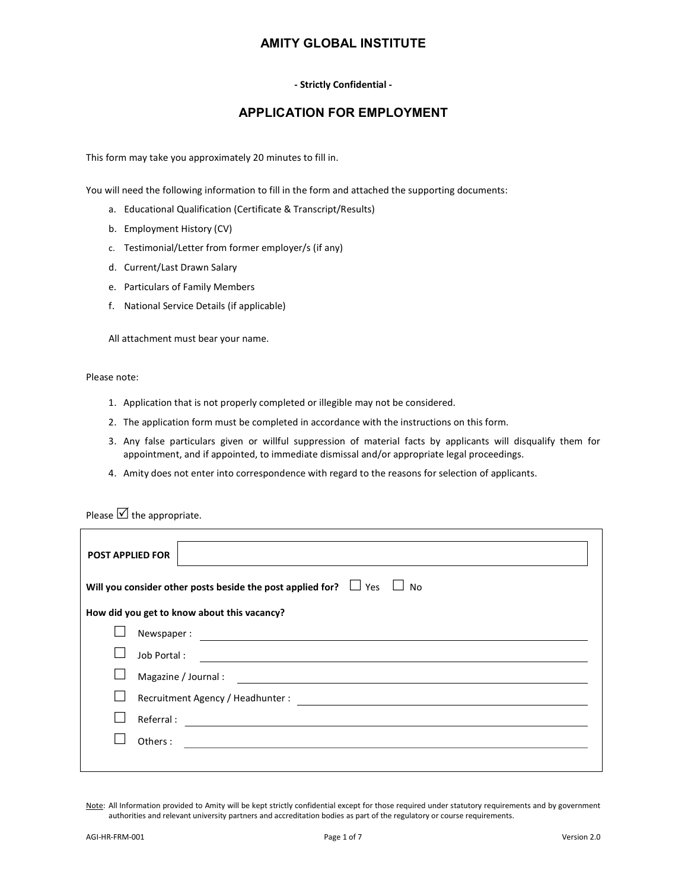#### - Strictly Confidential -

#### APPLICATION FOR EMPLOYMENT

This form may take you approximately 20 minutes to fill in.

You will need the following information to fill in the form and attached the supporting documents:

- a. Educational Qualification (Certificate & Transcript/Results)
- b. Employment History (CV)
- c. Testimonial/Letter from former employer/s (if any)
- d. Current/Last Drawn Salary
- e. Particulars of Family Members
- f. National Service Details (if applicable)

All attachment must bear your name.

Please note:

- 1. Application that is not properly completed or illegible may not be considered.
- 2. The application form must be completed in accordance with the instructions on this form.
- 3. Any false particulars given or willful suppression of material facts by applicants will disqualify them for appointment, and if appointed, to immediate dismissal and/or appropriate legal proceedings.
- 4. Amity does not enter into correspondence with regard to the reasons for selection of applicants.

Please  $\boxtimes$  the appropriate.

| <b>POST APPLIED FOR</b>                                                                                                             |  |  |  |  |  |  |
|-------------------------------------------------------------------------------------------------------------------------------------|--|--|--|--|--|--|
| Will you consider other posts beside the post applied for? $\Box$ Yes $\Box$ No                                                     |  |  |  |  |  |  |
| How did you get to know about this vacancy?                                                                                         |  |  |  |  |  |  |
|                                                                                                                                     |  |  |  |  |  |  |
| Job Portal:<br><u> Alexandria de la contexta de la contexta de la contexta de la contexta de la contexta de la contexta de la c</u> |  |  |  |  |  |  |
|                                                                                                                                     |  |  |  |  |  |  |
| Recruitment Agency / Headhunter :                                                                                                   |  |  |  |  |  |  |
| Referral:<br><u> 1980 - Andrea State Barbara, amerikan personal di sebagai personal di sebagai personal di sebagai personal d</u>   |  |  |  |  |  |  |
| Others:                                                                                                                             |  |  |  |  |  |  |
|                                                                                                                                     |  |  |  |  |  |  |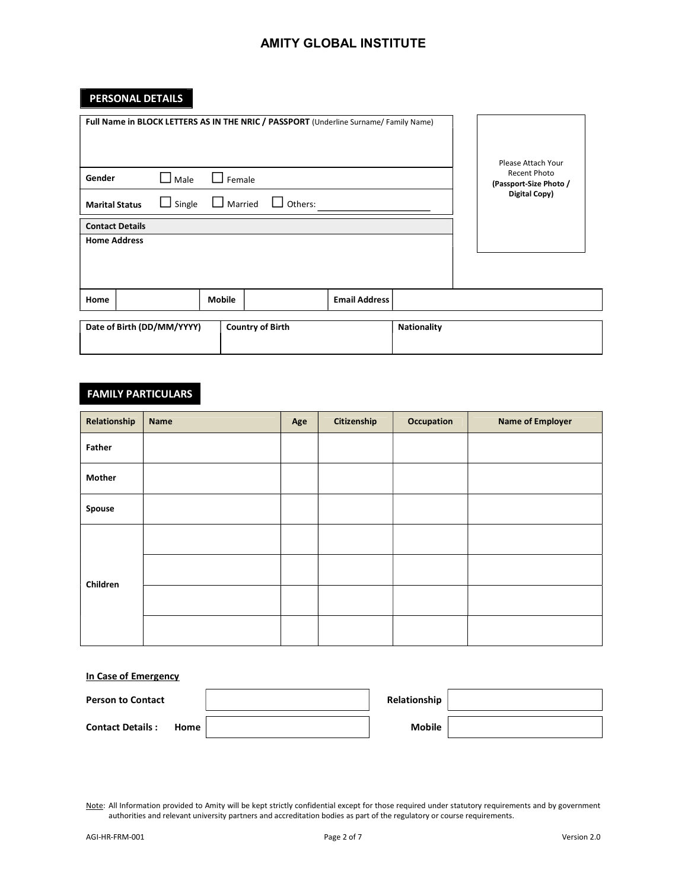# PERSONAL DETAILS

| Full Name in BLOCK LETTERS AS IN THE NRIC / PASSPORT (Underline Surname/ Family Name) |               |                         |                |                      |                    | Please Attach Your                            |
|---------------------------------------------------------------------------------------|---------------|-------------------------|----------------|----------------------|--------------------|-----------------------------------------------|
| Gender                                                                                | Male          | Female                  |                |                      |                    | <b>Recent Photo</b><br>(Passport-Size Photo / |
| <b>Marital Status</b>                                                                 | $\Box$ Single | $\Box$ Married          | $\Box$ Others: |                      |                    | Digital Copy)                                 |
| <b>Contact Details</b>                                                                |               |                         |                |                      |                    |                                               |
| <b>Home Address</b>                                                                   |               |                         |                |                      |                    |                                               |
|                                                                                       |               |                         |                |                      |                    |                                               |
| Home                                                                                  |               | <b>Mobile</b>           |                | <b>Email Address</b> |                    |                                               |
| Date of Birth (DD/MM/YYYY)                                                            |               | <b>Country of Birth</b> |                |                      | <b>Nationality</b> |                                               |

# FAMILY PARTICULARS

| Relationship  | Name | Age | Citizenship | Occupation | <b>Name of Employer</b> |
|---------------|------|-----|-------------|------------|-------------------------|
| Father        |      |     |             |            |                         |
| <b>Mother</b> |      |     |             |            |                         |
| Spouse        |      |     |             |            |                         |
| Children      |      |     |             |            |                         |
|               |      |     |             |            |                         |
|               |      |     |             |            |                         |
|               |      |     |             |            |                         |

#### In Case of Emergency

| <b>Person to Contact</b>          | Relationship |  |
|-----------------------------------|--------------|--|
| <b>Contact Details:</b><br>Home i | Mobile       |  |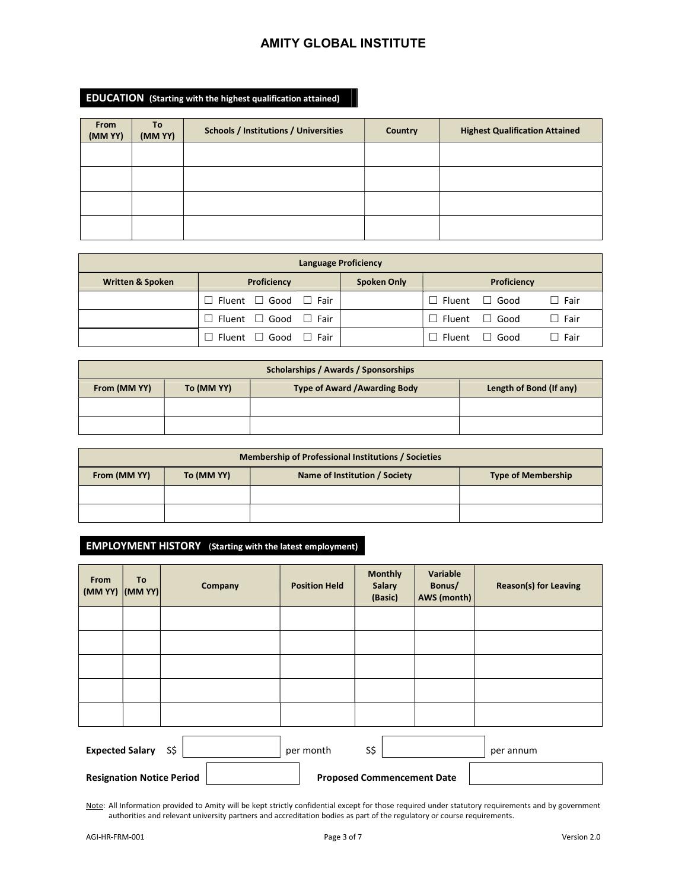#### EDUCATION (Starting with the highest qualification attained)

| From<br>(MM YY) | To<br>(MM YY) | <b>Schools / Institutions / Universities</b> | Country | <b>Highest Qualification Attained</b> |
|-----------------|---------------|----------------------------------------------|---------|---------------------------------------|
|                 |               |                                              |         |                                       |
|                 |               |                                              |         |                                       |
|                 |               |                                              |         |                                       |
|                 |               |                                              |         |                                       |

| <b>Language Proficiency</b> |                                          |                    |                           |             |             |  |  |  |
|-----------------------------|------------------------------------------|--------------------|---------------------------|-------------|-------------|--|--|--|
| <b>Written &amp; Spoken</b> | Proficiency                              | <b>Spoken Only</b> |                           | Proficiency |             |  |  |  |
|                             | $\Box$ Fluent $\Box$ Good $\Box$ Fair    |                    | $\Box$ Fluent $\Box$ Good |             | $\Box$ Fair |  |  |  |
|                             | $\Box$ Fluent $\Box$ Good $\Box$ Fair    |                    | $\Box$ Fluent $\Box$ Good |             | $\Box$ Fair |  |  |  |
|                             | $\Box$ Fluent $\Box$ Good<br>$\Box$ Fair |                    | $\Box$ Fluent             | $\Box$ Good | ] Fair      |  |  |  |

| Scholarships / Awards / Sponsorships |                         |  |  |  |  |  |
|--------------------------------------|-------------------------|--|--|--|--|--|
| From (MM YY)                         | Length of Bond (If any) |  |  |  |  |  |
|                                      |                         |  |  |  |  |  |
|                                      |                         |  |  |  |  |  |

| <b>Membership of Professional Institutions / Societies</b>                               |  |  |  |  |  |  |
|------------------------------------------------------------------------------------------|--|--|--|--|--|--|
| From (MM YY)<br>To (MM YY)<br>Name of Institution / Society<br><b>Type of Membership</b> |  |  |  |  |  |  |
|                                                                                          |  |  |  |  |  |  |
|                                                                                          |  |  |  |  |  |  |

# EMPLOYMENT HISTORY (Starting with the latest employment)

| From<br>$(MMYY)$ $ (MMYY) $                       | To | Company                          | <b>Position Held</b> | <b>Monthly</b><br>Salary<br>(Basic) | Variable<br>Bonus/<br>AWS (month) | <b>Reason(s) for Leaving</b> |
|---------------------------------------------------|----|----------------------------------|----------------------|-------------------------------------|-----------------------------------|------------------------------|
|                                                   |    |                                  |                      |                                     |                                   |                              |
|                                                   |    |                                  |                      |                                     |                                   |                              |
|                                                   |    |                                  |                      |                                     |                                   |                              |
|                                                   |    |                                  |                      |                                     |                                   |                              |
|                                                   |    |                                  |                      |                                     |                                   |                              |
| S\$<br>S\$<br><b>Expected Salary</b><br>per month |    |                                  |                      |                                     |                                   | per annum                    |
|                                                   |    | <b>Resignation Notice Period</b> |                      | <b>Proposed Commencement Date</b>   |                                   |                              |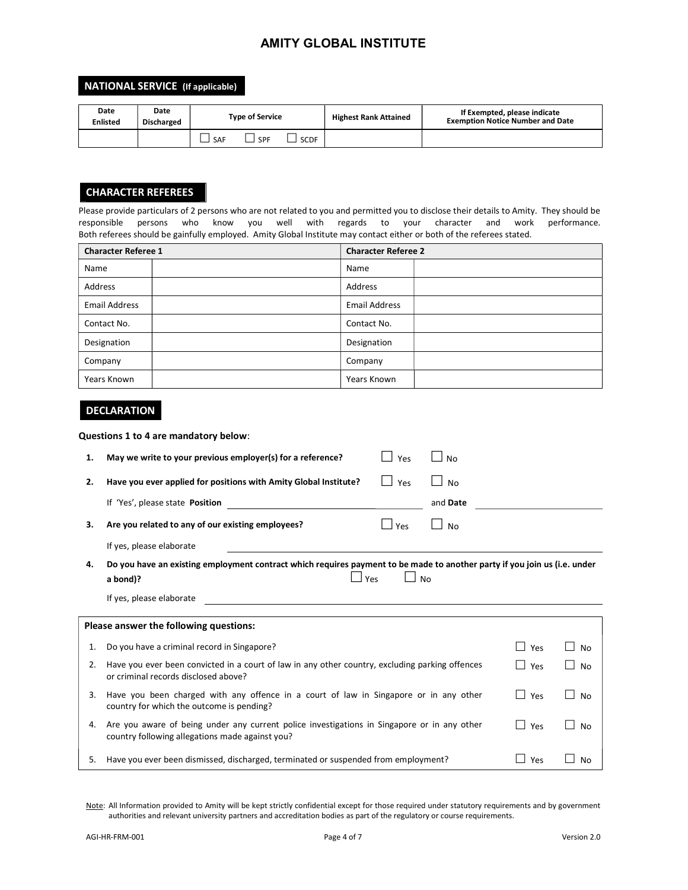#### NATIONAL SERVICE (If applicable)

| Date<br><b>Enlisted</b> | Date<br><b>Discharged</b> |     | <b>Type of Service</b> |             | <b>Highest Rank Attained</b> | If Exempted, please indicate<br><b>Exemption Notice Number and Date</b> |
|-------------------------|---------------------------|-----|------------------------|-------------|------------------------------|-------------------------------------------------------------------------|
|                         |                           | SAF | SPF                    | <b>SCDF</b> |                              |                                                                         |

#### CHARACTER REFEREES

Please provide particulars of 2 persons who are not related to you and permitted you to disclose their details to Amity. They should be responsible persons who know you well with regards to your character and work performance. Both referees should be gainfully employed. Amity Global Institute may contact either or both of the referees stated.

| <b>Character Referee 1</b> | <b>Character Referee 2</b> |  |
|----------------------------|----------------------------|--|
| Name                       | Name                       |  |
| Address                    | Address                    |  |
| <b>Email Address</b>       | <b>Email Address</b>       |  |
| Contact No.                | Contact No.                |  |
| Designation                | Designation                |  |
| Company                    | Company                    |  |
| Years Known                | Years Known                |  |

#### DECLARATION

Questions 1 to 4 are mandatory below:

| 1. | May we write to your previous employer(s) for a reference?<br>Yes                                                                                                                                                                                                | <b>No</b> |                |                     |
|----|------------------------------------------------------------------------------------------------------------------------------------------------------------------------------------------------------------------------------------------------------------------|-----------|----------------|---------------------|
| 2. | Have you ever applied for positions with Amity Global Institute?<br>Yes                                                                                                                                                                                          | <b>No</b> |                |                     |
|    | If 'Yes', please state Position                                                                                                                                                                                                                                  | and Date  |                |                     |
| 3. | Are you related to any of our existing employees?<br>Yes<br>$\mathsf{L}$                                                                                                                                                                                         | <b>No</b> |                |                     |
|    | If yes, please elaborate                                                                                                                                                                                                                                         |           |                |                     |
| 4. | Do you have an existing employment contract which requires payment to be made to another party if you join us (i.e. under<br>Yes<br><b>No</b><br>a bond)?                                                                                                        |           |                |                     |
|    | If yes, please elaborate<br><u>and the contract of the contract of the contract of the contract of the contract of the contract of the contract of the contract of the contract of the contract of the contract of the contract of the contract of the contr</u> |           |                |                     |
|    | Please answer the following questions:                                                                                                                                                                                                                           |           |                |                     |
| 1. | Do you have a criminal record in Singapore?                                                                                                                                                                                                                      |           | $\Box$<br>Yes  | <b>No</b>           |
| 2. | Have you ever been convicted in a court of law in any other country, excluding parking offences<br>or criminal records disclosed above?                                                                                                                          |           | $\perp$<br>Yes | <b>No</b>           |
| 3. | Have you been charged with any offence in a court of law in Singapore or in any other<br>country for which the outcome is pending?                                                                                                                               |           | $\Box$<br>Yes  | <b>No</b><br>$\sim$ |
| 4. | Are you aware of being under any current police investigations in Singapore or in any other<br>country following allegations made against you?                                                                                                                   |           | $\Box$<br>Yes  | No                  |
| 5. | Have you ever been dismissed, discharged, terminated or suspended from employment?                                                                                                                                                                               |           | Yes            | No                  |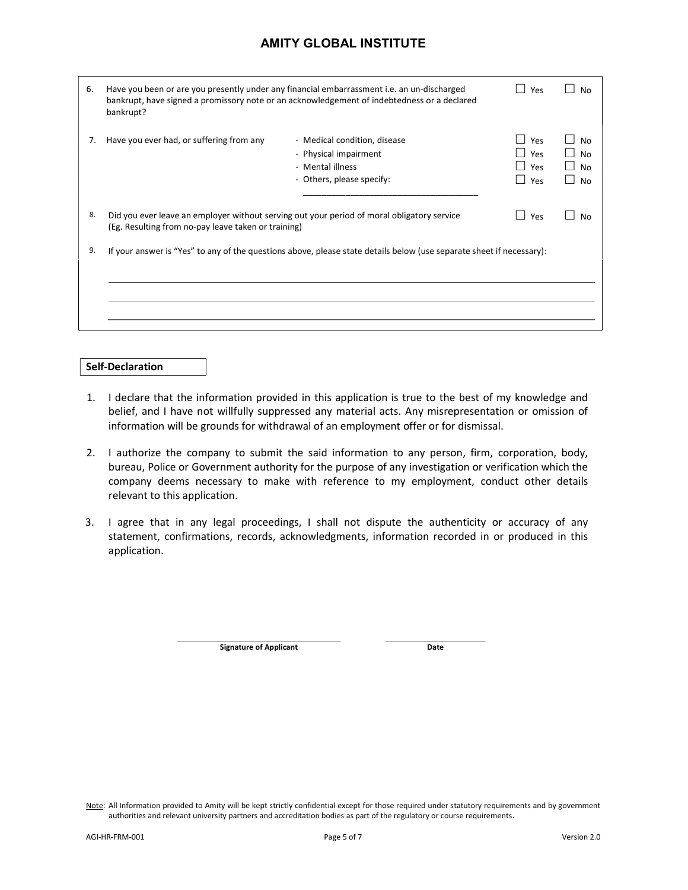| 6. | Have you been or are you presently under any financial embarrassment i.e. an un-discharged<br>bankrupt, have signed a promissory note or an acknowledgement of indebtedness or a declared<br>bankrupt? | Yes                                                                                                                  | No                       |                                    |
|----|--------------------------------------------------------------------------------------------------------------------------------------------------------------------------------------------------------|----------------------------------------------------------------------------------------------------------------------|--------------------------|------------------------------------|
| 7. | Have you ever had, or suffering from any                                                                                                                                                               | - Medical condition, disease<br>- Physical impairment<br>- Mental illness<br>- Others, please specify:               | Yes<br>Yes<br>Yes<br>Yes | No<br><b>No</b><br><b>No</b><br>No |
| 8. | Did you ever leave an employer without serving out your period of moral obligatory service<br>(Eg. Resulting from no-pay leave taken or training)                                                      | Yes                                                                                                                  | No                       |                                    |
| 9. |                                                                                                                                                                                                        | If your answer is "Yes" to any of the questions above, please state details below (use separate sheet if necessary): |                          |                                    |

#### Self-Declaration

- 1. I declare that the information provided in this application is true to the best of my knowledge and belief, and I have not willfully suppressed any material acts. Any misrepresentation or omission of information will be grounds for withdrawal of an employment offer or for dismissal.
- 2. I authorize the company to submit the said information to any person, firm, corporation, body, bureau, Police or Government authority for the purpose of any investigation or verification which the company deems necessary to make with reference to my employment, conduct other details relevant to this application.
- 3. I agree that in any legal proceedings, I shall not dispute the authenticity or accuracy of any statement, confirmations, records, acknowledgments, information recorded in or produced in this application.

Signature of Applicant Date

Note: All Information provided to Amity will be kept strictly confidential except for those required under statutory requirements and by government authorities and relevant university partners and accreditation bodies as part of the regulatory or course requirements.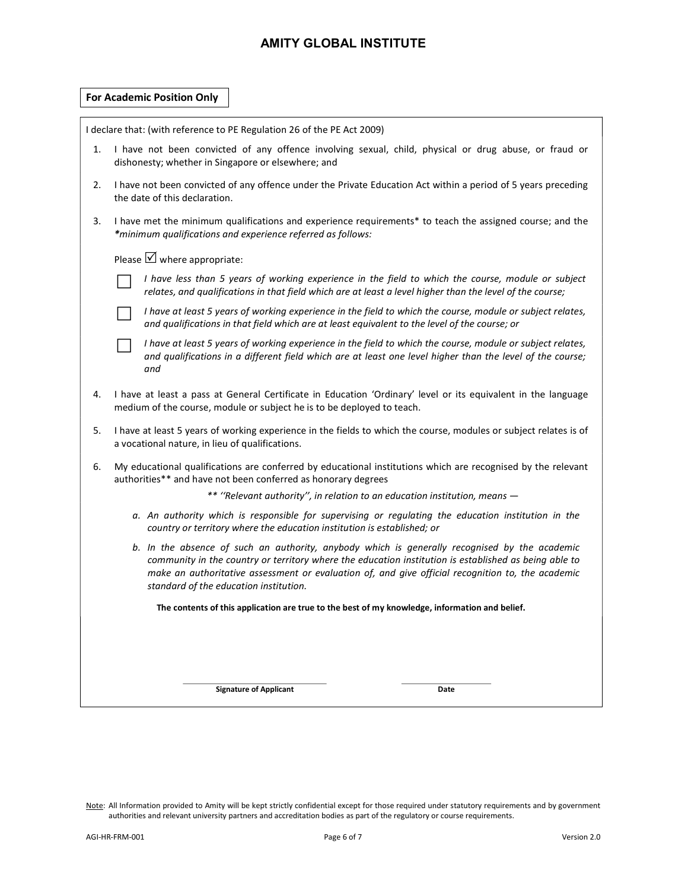|    |                                                                                                                                                                                                                                                                                                                                                       | I declare that: (with reference to PE Regulation 26 of the PE Act 2009)                                                                                                                                                        |  |  |  |  |  |  |
|----|-------------------------------------------------------------------------------------------------------------------------------------------------------------------------------------------------------------------------------------------------------------------------------------------------------------------------------------------------------|--------------------------------------------------------------------------------------------------------------------------------------------------------------------------------------------------------------------------------|--|--|--|--|--|--|
| 1. | I have not been convicted of any offence involving sexual, child, physical or drug abuse, or fraud or<br>dishonesty; whether in Singapore or elsewhere; and                                                                                                                                                                                           |                                                                                                                                                                                                                                |  |  |  |  |  |  |
| 2. | I have not been convicted of any offence under the Private Education Act within a period of 5 years preceding<br>the date of this declaration.                                                                                                                                                                                                        |                                                                                                                                                                                                                                |  |  |  |  |  |  |
| 3. | I have met the minimum qualifications and experience requirements* to teach the assigned course; and the<br>*minimum qualifications and experience referred as follows:                                                                                                                                                                               |                                                                                                                                                                                                                                |  |  |  |  |  |  |
|    | Please $\boxtimes$ where appropriate:                                                                                                                                                                                                                                                                                                                 |                                                                                                                                                                                                                                |  |  |  |  |  |  |
|    | I have less than 5 years of working experience in the field to which the course, module or subject<br>relates, and qualifications in that field which are at least a level higher than the level of the course;                                                                                                                                       |                                                                                                                                                                                                                                |  |  |  |  |  |  |
|    |                                                                                                                                                                                                                                                                                                                                                       | I have at least 5 years of working experience in the field to which the course, module or subject relates,<br>and qualifications in that field which are at least equivalent to the level of the course; or                    |  |  |  |  |  |  |
|    |                                                                                                                                                                                                                                                                                                                                                       | I have at least 5 years of working experience in the field to which the course, module or subject relates,<br>and qualifications in a different field which are at least one level higher than the level of the course;<br>and |  |  |  |  |  |  |
| 4. | I have at least a pass at General Certificate in Education 'Ordinary' level or its equivalent in the language<br>medium of the course, module or subject he is to be deployed to teach.                                                                                                                                                               |                                                                                                                                                                                                                                |  |  |  |  |  |  |
| 5. | I have at least 5 years of working experience in the fields to which the course, modules or subject relates is of<br>a vocational nature, in lieu of qualifications.                                                                                                                                                                                  |                                                                                                                                                                                                                                |  |  |  |  |  |  |
| 6. | My educational qualifications are conferred by educational institutions which are recognised by the relevant<br>authorities** and have not been conferred as honorary degrees                                                                                                                                                                         |                                                                                                                                                                                                                                |  |  |  |  |  |  |
|    | ** "Relevant authority", in relation to an education institution, means -                                                                                                                                                                                                                                                                             |                                                                                                                                                                                                                                |  |  |  |  |  |  |
|    | a. An authority which is responsible for supervising or regulating the education institution in the<br>country or territory where the education institution is established; or                                                                                                                                                                        |                                                                                                                                                                                                                                |  |  |  |  |  |  |
|    | b. In the absence of such an authority, anybody which is generally recognised by the academic<br>community in the country or territory where the education institution is established as being able to<br>make an authoritative assessment or evaluation of, and give official recognition to, the academic<br>standard of the education institution. |                                                                                                                                                                                                                                |  |  |  |  |  |  |
|    | The contents of this application are true to the best of my knowledge, information and belief.                                                                                                                                                                                                                                                        |                                                                                                                                                                                                                                |  |  |  |  |  |  |
|    |                                                                                                                                                                                                                                                                                                                                                       |                                                                                                                                                                                                                                |  |  |  |  |  |  |
|    |                                                                                                                                                                                                                                                                                                                                                       | <b>Signature of Applicant</b><br>Date                                                                                                                                                                                          |  |  |  |  |  |  |
|    |                                                                                                                                                                                                                                                                                                                                                       |                                                                                                                                                                                                                                |  |  |  |  |  |  |